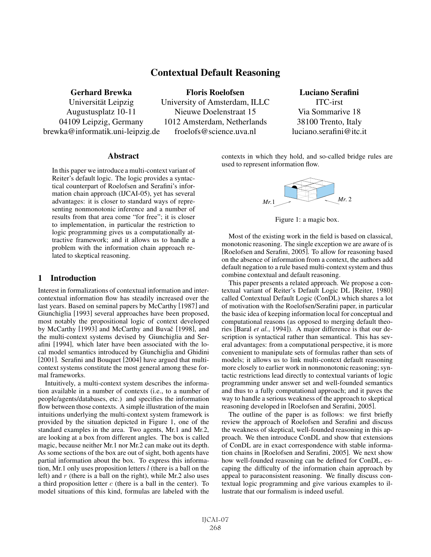# Contextual Default Reasoning

Gerhard Brewka

Universität Leipzig Augustusplatz 10-11 04109 Leipzig, Germany brewka@informatik.uni-leipzig.de

Floris Roelofsen University of Amsterdam, ILLC Nieuwe Doelenstraat 15 1012 Amsterdam, Netherlands froelofs@science.uva.nl

# Luciano Serafini

ITC-irst Via Sommarive 18 38100 Trento, Italy luciano.serafini@itc.it

#### **Abstract**

In this paper we introduce a multi-context variant of Reiter's default logic. The logic provides a syntactical counterpart of Roelofsen and Serafini's information chain approach (IJCAI-05), yet has several advantages: it is closer to standard ways of representing nonmonotonic inference and a number of results from that area come "for free"; it is closer to implementation, in particular the restriction to logic programming gives us a computationally attractive framework; and it allows us to handle a problem with the information chain approach related to skeptical reasoning.

## 1 Introduction

Interest in formalizations of contextual information and intercontextual information flow has steadily increased over the last years. Based on seminal papers by McCarthy [1987] and Giunchiglia [1993] several approaches have been proposed, most notably the propositional logic of context developed by McCarthy [1993] and McCarthy and Buvač [1998], and the multi-context systems devised by Giunchiglia and Serafini [1994], which later have been associated with the local model semantics introduced by Giunchiglia and Ghidini [2001]. Serafini and Bouquet [2004] have argued that multicontext systems constitute the most general among these formal frameworks.

Intuitively, a multi-context system describes the information available in a number of contexts (i.e., to a number of people/agents/databases, etc.) and specifies the information flow between those contexts. A simple illustration of the main intuitions underlying the multi-context system framework is provided by the situation depicted in Figure 1, one of the standard examples in the area. Two agents, Mr.1 and Mr.2, are looking at a box from different angles. The box is called magic, because neither Mr.1 nor Mr.2 can make out its depth. As some sections of the box are out of sight, both agents have partial information about the box. To express this information, Mr.1 only uses proposition letters  $l$  (there is a ball on the left) and r (there is a ball on the right), while Mr.2 also uses a third proposition letter  $c$  (there is a ball in the center). To model situations of this kind, formulas are labeled with the

contexts in which they hold, and so-called bridge rules are used to represent information flow.



Figure 1: a magic box.

Most of the existing work in the field is based on classical, monotonic reasoning. The single exception we are aware of is [Roelofsen and Serafini, 2005]. To allow for reasoning based on the absence of information from a context, the authors add default negation to a rule based multi-context system and thus combine contextual and default reasoning.

This paper presents a related approach. We propose a contextual variant of Reiter's Default Logic DL [Reiter, 1980] called Contextual Default Logic (ConDL) which shares a lot of motivation with the Roelofsen/Serafini paper, in particular the basic idea of keeping information local for conceptual and computational reasons (as opposed to merging default theories [Baral *et al.*, 1994]). A major difference is that our description is syntactical rather than semantical. This has several advantages: from a computational perspective, it is more convenient to manipulate sets of formulas rather than sets of models; it allows us to link multi-context default reasoning more closely to earlier work in nonmonotonic reasoning; syntactic restrictions lead directly to contextual variants of logic programming under answer set and well-founded semantics and thus to a fully computational approach; and it paves the way to handle a serious weakness of the approach to skeptical reasoning developed in [Roelofsen and Serafini, 2005].

The outline of the paper is as follows: we first briefly review the approach of Roelofsen and Serafini and discuss the weakness of skeptical, well-founded reasoning in this approach. We then introduce ConDL and show that extensions of ConDL are in exact correspondence with stable information chains in [Roelofsen and Serafini, 2005]. We next show how well-founded reasoning can be defined for ConDL, escaping the difficulty of the information chain approach by appeal to paraconsistent reasoning. We finally discuss contextual logic programming and give various examples to illustrate that our formalism is indeed useful.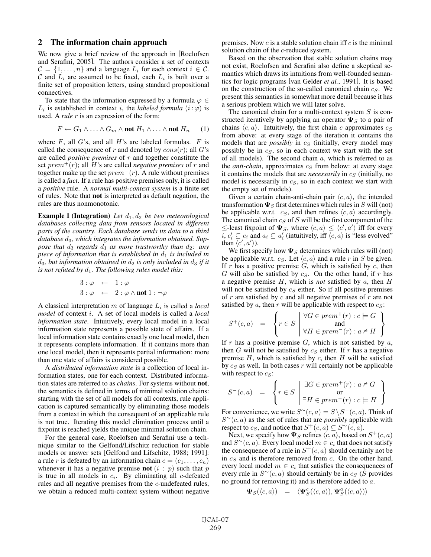#### 2 The information chain approach

We now give a brief review of the approach in [Roelofsen and Serafini, 2005]. The authors consider a set of contexts  $C = \{1, \ldots, n\}$  and a language  $L_i$  for each context  $i \in C$ . C and  $L_i$  are assumed to be fixed, each  $L_i$  is built over a finite set of proposition letters, using standard propositional connectives.

To state that the information expressed by a formula  $\varphi \in$  $L_i$  is established in context i, the *labeled formula*  $(i:\varphi)$  is used. A *rule* r is an expression of the form:

$$
F \leftarrow G_1 \wedge \ldots \wedge G_m \wedge \text{not } H_1 \wedge \ldots \wedge \text{not } H_n \qquad (1)
$$

where  $F$ , all  $G$ 's, and all  $H$ 's are labeled formulas.  $F$  is called the consequence of r and denoted by  $cons(r)$ ; all G's are called *positive premises* of r and together constitute the set  $prem^+(r)$ ; all H's are called *negative premises* of r and together make up the set  $prem^-(r)$ . A rule without premises is called a *fact*. If a rule has positive premises only, it is called a *positive* rule. A *normal multi-context system* is a finite set of rules. Note that not is interpreted as default negation, the rules are thus nonmonotonic.

**Example 1 (Integration)** *Let*  $d_1$ ,  $d_2$  *be two meteorological databases collecting data from sensors located in different parts of the country. Each database sends its data to a third database* d3*, which integrates the information obtained. Suppose that*  $d_3$  *regards*  $d_1$  *as more trustworthy than*  $d_2$ *: any piece of information that is established in*  $d_1$  *is included in*  $d_3$ , but information obtained in  $d_2$  is only included in  $d_3$  if it *is not refuted by*  $d_1$ *. The following rules model this:* 

$$
3: \varphi \leftarrow 1: \varphi
$$
  

$$
3: \varphi \leftarrow 2: \varphi \wedge \text{not } 1: \neg \varphi
$$

A classical interpretation m of language L<sup>i</sup> is called a *local model* of context i. A set of local models is called a *local information state*. Intuitively, every local model in a local information state represents a possible state of affairs. If a local information state contains exactly one local model, then it represents complete information. If it contains more than one local model, then it represents partial information: more than one state of affairs is considered possible.

A *distributed information state* is a collection of local information states, one for each context. Distributed information states are referred to as *chains*. For systems without not, the semantics is defined in terms of minimal solution chains: starting with the set of all models for all contexts, rule application is captured semantically by eliminating those models from a context in which the consequent of an applicable rule is not true. Iterating this model elimination process until a fixpoint is reached yields the unique minimal solution chain.

For the general case, Roelofsen and Serafini use a technique similar to the Gelfond/Lifschitz reduction for stable models or answer sets [Gelfond and Lifschitz, 1988; 1991]: a rule r is defeated by an information chain  $c = (c_1, \ldots, c_n)$ whenever it has a negative premise **not**  $(i : p)$  such that p is true in all models in  $c_i$ . By eliminating all c-defeated rules and all negative premises from the c-undefeated rules, we obtain a reduced multi-context system without negative premises. Now  $c$  is a stable solution chain iff  $c$  is the minimal solution chain of the c-reduced system.

Based on the observation that stable solution chains may not exist, Roelofsen and Serafini also define a skeptical semantics which draws its intuitions from well-founded semantics for logic programs [van Gelder *et al.*, 1991]. It is based on the construction of the so-called canonical chain  $c_S$ . We present this semantics in somewhat more detail because it has a serious problem which we will later solve.

The canonical chain for a multi-context system  $S$  is constructed iteratively by applying an operator  $\Psi_S$  to a pair of chains  $\langle c, a \rangle$ . Intuitively, the first chain c approximates  $c_S$ from above: at every stage of the iteration it contains the models that are *possibly* in  $c_S$  (initially, every model may possibly be in  $c<sub>S</sub>$ , so in each context we start with the set of all models). The second chain  $a$ , which is referred to as the *anti-chain*, approximates  $c_S$  from below: at every stage it contains the models that are *necessarily* in  $c_S$  (initially, no model is necessarily in  $c<sub>S</sub>$ , so in each context we start with the empty set of models).

Given a certain chain-anti-chain pair  $\langle c, a \rangle$ , the intended transformation  $\Psi_S$  first determines which rules in  $S$  will (not) be applicable w.r.t.  $c_S$ , and then refines  $\langle c, a \rangle$  accordingly. The canonical chain  $c_S$  of  $S$  will be the first component of the  $\leq$ -least fixpoint of  $\Psi_S$ , where  $\langle c, a \rangle \leq \langle c', a' \rangle$  iff for every  $\overline{i}, c'_i \subseteq c_i$  and  $a_i \subseteq a'_i$  (intuitively, iff  $\overline{\langle c, a \rangle}$  is "less evolved" than  $\langle c', a' \rangle$ ).

We first specify how  $\Psi_S$  determines which rules will (not) be applicable w.r.t.  $c_S$ . Let  $\langle c, a \rangle$  and a rule r in S be given. If  $r$  has a positive premise  $G$ , which is satisfied by  $c$ , then  $G$  will also be satisfied by  $c_S$ . On the other hand, if  $r$  has a negative premise H, which is *not* satisfied by a, then H will not be satisfied by  $c<sub>S</sub>$  either. So if all positive premises of  $r$  are satisfied by  $c$  and all negative premises of  $r$  are not satisfied by  $a$ , then  $r$  will be applicable with respect to  $c_s$ :

$$
S^{+}(c,a) = \left\{ r \in S \mid \begin{matrix} \forall G \in prem^{+}(r) : c \models G \\ \text{and} \\ \forall H \in prem^{-}(r) : a \nvDash H \end{matrix} \right\}
$$

If r has a positive premise  $G$ , which is not satisfied by  $a$ , then G will not be satisfied by  $c<sub>S</sub>$  either. If r has a negative premise  $H$ , which is satisfied by  $c$ , then  $H$  will be satisfied by  $c_S$  as well. In both cases r will certainly not be applicable with respect to  $c_S$ :

$$
S^{-}(c,a) = \left\{ r \in S \mid \begin{array}{c} \exists G \in prem^{+}(r) : a \nvDash G \\ \text{or} \\ \exists H \in prem^{-}(r) : c \models H \end{array} \right\}
$$

For convenience, we write  $S^{\sim}(c, a) = S \setminus S^{-}(c, a)$ . Think of S<sup>∼</sup>(c, a) as the set of rules that are *possibly* applicable with respect to  $c_S$ , and notice that  $S^+(c, a) \subseteq S^{\sim}(c, a)$ .

Next, we specify how  $\Psi_S$  refines  $\langle c, a \rangle$ , based on  $S^+(c, a)$ and  $S<sup>∼</sup>(c, a)$ . Every local model  $m \in c<sub>i</sub>$  that does not satisfy the consequence of a rule in  $S^+(c, a)$  should certainly not be in  $c_s$  and is therefore removed from c. On the other hand, every local model  $m \in c_i$  that satisfies the consequences of every rule in  $S<sup>∼</sup>(c, a)$  should certainly be in  $c_S$  (S provides no ground for removing it) and is therefore added to a.

$$
\Psi_S(\langle c,a \rangle) \quad = \quad \langle \Psi_S^c(\langle c,a \rangle), \Psi_S^a(\langle c,a \rangle) \rangle
$$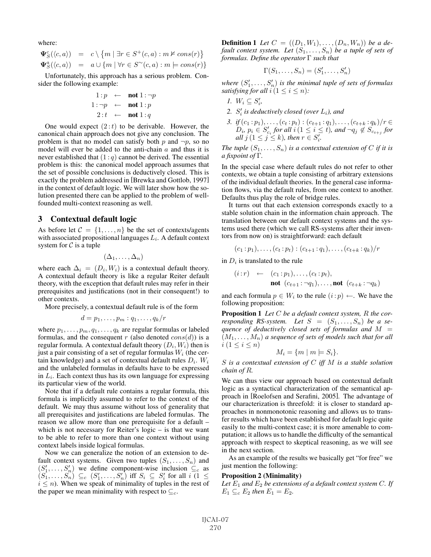where:

$$
\begin{array}{rcl}\n\Psi_S^c(\langle c,a \rangle) & = & c \setminus \{m \mid \exists r \in S^+(c,a) : m \nvDash cons(r)\} \\
\Psi_S^a(\langle c,a \rangle) & = & a \cup \{m \mid \forall r \in S^\sim(c,a) : m \models cons(r)\}\n\end{array}
$$

Unfortunately, this approach has a serious problem. Consider the following example:

$$
\begin{array}{rcl} 1:p & \leftarrow & \textbf{not} \ 1:\neg p \\ 1:\neg p & \leftarrow & \textbf{not} \ 1:p \\ 2:t & \leftarrow & \textbf{not} \ 1:q \end{array}
$$

One would expect  $(2 : t)$  to be derivable. However, the canonical chain approach does not give any conclusion. The problem is that no model can satisfy both  $p$  and  $\neg p$ , so no model will ever be added to the anti-chain  $a$  and thus it is never established that  $(1:q)$  cannot be derived. The essential problem is this: the canonical model approach assumes that the set of possible conclusions is deductively closed. This is exactly the problem addressed in [Brewka and Gottlob, 1997] in the context of default logic. We will later show how the solution presented there can be applied to the problem of wellfounded multi-context reasoning as well.

#### 3 Contextual default logic

As before let  $C = \{1, \ldots, n\}$  be the set of contexts/agents with associated propositional languages  $L_i$ . A default context system for  $C$  is a tuple

$$
(\Delta_1,\ldots,\Delta_n)
$$

where each  $\Delta_i = (D_i, W_i)$  is a contextual default theory. A contextual default theory is like a regular Reiter default theory, with the exception that default rules may refer in their prerequisites and justifications (not in their consequent!) to other contexts.

More precisely, a contextual default rule is of the form

$$
d=p_1,\ldots,p_m:q_1,\ldots,q_k/r
$$

where  $p_1, \ldots, p_m, q_1, \ldots, q_k$  are regular formulas or labeled formulas, and the consequent r (also denoted  $cons(d)$ ) is a regular formula. A contextual default theory  $(D_i, W_i)$  then is just a pair consisting of a set of regular formulas  $W_i$  (the certain knowledge) and a set of contextual default rules  $D_i$ .  $W_i$ and the unlabeled formulas in defaults have to be expressed in  $L<sub>i</sub>$ . Each context thus has its own language for expressing its particular view of the world.

Note that if a default rule contains a regular formula, this formula is implicitly assumed to refer to the context of the default. We may thus assume without loss of generality that all prerequisites and justifications are labeled formulas. The reason we allow more than one prerequisite for a default – which is not necessary for Reiter's logic – is that we want to be able to refer to more than one context without using context labels inside logical formulas.

Now we can generalize the notion of an extension to default context systems. Given two tuples  $(S_1, \ldots, S_n)$  and  $(S'_1, \ldots, S'_n)$  we define component-wise inclusion  $\mathcal{L}_c$  as  $(S_1, \ldots, S_n') \subseteq_c (S_1', \ldots, S_n')$  iff  $S_i \subseteq S_i'$  for all  $i \in I \leq$  $i \leq n$ ). When we speak of minimality of tuples in the rest of the paper we mean minimality with respect to  $\subseteq_c$ .

**Definition 1** Let  $C = ((D_1, W_1), \ldots, (D_n, W_n))$  be a de*fault context system. Let*  $(S_1, \ldots, S_n)$  *be a tuple of sets of formulas. Define the operator* Γ *such that*

$$
\Gamma(S_1,\ldots,S_n)=(S'_1,\ldots,S'_n)
$$

where  $(S'_1, \ldots, S'_n)$  *is the minimal tuple of sets of formulas satisfying for all*  $i (1 \leq i \leq n)$ *:* 

- *1.*  $W_i \subseteq S'_i$ ,
- 2.  $S_i'$  *is deductively closed (over*  $L_i$ *), and*
- *3. if*  $(c_1 : p_1), \ldots, (c_t : p_t) : (c_{t+1} : q_1), \ldots, (c_{t+k} : q_k)/r \in$  $D_i$ ,  $p_i \in S'_{c_i}$  for all  $i(1 \leq i \leq t)$ , and  $\neg q_j \notin S_{c_{t+j}}$  for  $all \, j \, (1 \leq j \leq k)$ , then  $r \in S_i^{\overline{j}}$ .

*The tuple*  $(S_1, \ldots, S_n)$  *is a contextual extension of* C *if it is a fixpoint of* Γ*.*

In the special case where default rules do not refer to other contexts, we obtain a tuple consisting of arbitrary extensions of the individual default theories. In the general case information flows, via the default rules, from one context to another. Defaults thus play the role of bridge rules.

It turns out that each extension corresponds exactly to a stable solution chain in the information chain approach. The translation between our default context systems and the systems used there (which we call RS-systems after their inventors from now on) is straightforward: each default

$$
(c_1:p_1),\ldots,(c_t:p_t):(c_{t+1}:q_1),\ldots,(c_{t+k}:q_k)/r
$$

in  $D_i$  is translated to the rule

$$
(i:r) \leftarrow (c_1:p_1), \ldots, (c_t:p_t),
$$
  
**not** 
$$
(c_{t+1}:\neg q_1), \ldots, \text{not} (c_{t+k}:\neg q_k)
$$

and each formula  $p \in W_i$  to the rule  $(i:p) \leftarrow$ . We have the following proposition:

Proposition 1 *Let* C *be a default context system,* R *the corresponding RS-system.* Let  $S = (S_1, \ldots, S_n)$  be a se*quence of deductively closed sets of formulas and* M =  $(M_1,\ldots,M_n)$  *a sequence of sets of models such that for all*  $i (1 \leq i \leq n)$ 

$$
M_i = \{m \mid m \models S_i\}.
$$

S *is a contextual extension of* C *iff* M *is a stable solution chain of* R*.*

We can thus view our approach based on contextual default logic as a syntactical characterization of the semantical approach in [Roelofsen and Serafini, 2005]. The advantage of our characterization is threefold: it is closer to standard approaches in nonmonotonic reasoning and allows us to transfer results which have been established for default logic quite easily to the multi-context case; it is more amenable to computation; it allows us to handle the difficulty of the semantical approach with respect to skeptical reasoning, as we will see in the next section.

As an example of the results we basically get "for free" we just mention the following:

#### Proposition 2 (Minimality)

Let  $E_1$  and  $E_2$  be extensions of a default context system C. If  $E_1 \subseteq_c E_2$  *then*  $E_1 = E_2$ .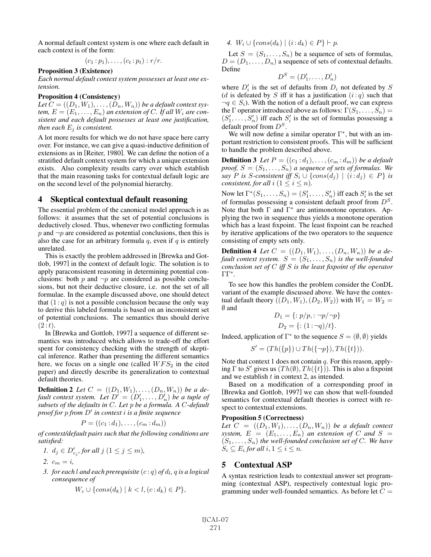A normal default context system is one where each default in each context is of the form:

$$
(c_1:p_1),\ldots,(c_t:p_t):r/r.
$$

## Proposition 3 (Existence)

*Each normal default context system possesses at least one extension.*

### Proposition 4 (Consistency)

Let  $C = ((D_1, W_1), \ldots, (D_n, W_n))$  *be a default context system,*  $E = (E_1, \ldots, E_n)$  *an extension of C. If all*  $W_i$  *are consistent and each default possesses at least one justification, then each*  $E_i$  *is consistent.* 

A lot more results for which we do not have space here carry over. For instance, we can give a quasi-inductive definition of extensions as in [Reiter, 1980]. We can define the notion of a stratified default context system for which a unique extension exists. Also complexity results carry over which establish that the main reasoning tasks for contextual default logic are on the second level of the polynomial hierarchy.

### 4 Skeptical contextual default reasoning

The essential problem of the canonical model approach is as follows: it assumes that the set of potential conclusions is deductively closed. Thus, whenever two conflicting formulas  $p$  and  $\neg p$  are considered as potential conclusions, then this is also the case for an arbitrary formula  $q$ , even if  $q$  is entirely unrelated.

This is exactly the problem addressed in [Brewka and Gottlob, 1997] in the context of default logic. The solution is to apply paraconsistent reasoning in determining potential conclusions: both p and  $\neg p$  are considered as possible conclusions, but not their deductive closure, i.e. not the set of all formulae. In the example discussed above, one should detect that  $(1 : q)$  is not a possible conclusion because the only way to derive this labeled formula is based on an inconsistent set of potential conclusions. The semantics thus should derive  $(2 : t).$ 

In [Brewka and Gottlob, 1997] a sequence of different semantics was introduced which allows to trade-off the effort spent for consistency checking with the strength of skeptical inference. Rather than presenting the different semantics here, we focus on a single one (called  $WFS<sub>2</sub>$  in the cited paper) and directly describe its generalization to contextual default theories.

**Definition 2** Let  $C = ((D_1, W_1), \ldots, (D_n, W_n))$  be a de*fault context system. Let*  $D' = (D'_1, \ldots, D'_n)$  *be a tuple of subsets of the defaults in* C*. Let* p *be a formula. A* C*-default proof for* p *from* D- *in context* i *is a finite sequence*

$$
P = ((c_1:d_1),\ldots,(c_m:d_m))
$$

*of context/default pairs such that the following conditions are satisfied:*

$$
1. \ d_j \in D'_{c_j}, \text{ for all } j \ (1 \le j \le m),
$$

2.  $c_m = i$ ,

*3. for each l and each prerequisite*  $(c : q)$  *of d<sub>l</sub>, q is a logical consequence of*

$$
W_c \cup \{cons(d_k) \mid k < l, (c:d_k) \in P\},\
$$

*4.*  $W_i \cup \{cons(d_k) \mid (i : d_k) \in P\} \vdash p$ .

Let  $S = (S_1, \ldots, S_n)$  be a sequence of sets of formulas,  $D = (D_1, \ldots, D_n)$  a sequence of sets of contextual defaults. Define

$$
D^S = (D'_1, \ldots, D'_n)
$$

where  $D_i'$  is the set of defaults from  $D_i$  not defeated by S (d is defeated by S iff it has a justification  $(i:q)$  such that  $\neg q \in S_i$ ). With the notion of a default proof, we can express the Γ operator introduced above as follows:  $\Gamma(S_1,\ldots,S_n) =$  $(S'_1, \ldots, S'_n)$  iff each  $S'_i$  is the set of formulas possessing a default proof from  $D<sup>S</sup>$ .

We will now define a similar operator  $\Gamma^*$ , but with an important restriction to consistent proofs. This will be sufficient to handle the problem described above.

**Definition 3** Let  $P = ((c_1 : d_1), \ldots, (c_m : d_m))$  be a default *proof,*  $S = (S_1, \ldots, S_n)$  *a sequence of sets of formulas. We say P is S*-consistent iff  $S_i \cup \{cons(d_j) | (i:d_j) \in P\}$  is *consistent, for all*  $i$  ( $1 \leq i \leq n$ ).

Now let  $\Gamma^*(S_1,\ldots,S_n)=(S'_1,\ldots,S'_n)$  iff each  $S'_i$  is the set of formulas possessing a consistent default proof from  $D<sup>S</sup>$ . Note that both  $\Gamma$  and  $\Gamma^*$  are antimonotone operators. Applying the two in sequence thus yields a monotone operation which has a least fixpoint. The least fixpoint can be reached by iterative applications of the two operators to the sequence consisting of empty sets only.

**Definition 4** Let  $C = ((D_1, W_1), \ldots, (D_n, W_n))$  be a de*fault context system.*  $S = (S_1, \ldots, S_n)$  *is the well-founded conclusion set of* C *iff* S *is the least fixpoint of the operator* ΓΓ<sup>∗</sup>*.*

To see how this handles the problem consider the ConDL variant of the example discussed above. We have the contextual default theory  $((D_1, W_1), (D_2, W_2))$  with  $W_1 = W_2 =$ ∅ and

$$
D_1 = \{ : p/p, : \neg p/\neg p \}
$$
  

$$
D_2 = \{ : (1: \neg q)/t \}.
$$

Indeed, application of  $\Gamma^*$  to the sequence  $S = (\emptyset, \emptyset)$  yields

$$
S' = (Th({p}) \cup Th({\neg p}), Th({t}).
$$

Note that context 1 does not contain  $q$ . For this reason, applying  $\Gamma$  to  $S'$  gives us  $(Th(\emptyset), Th({t})$ ). This is also a fixpoint and we establish t in context 2, as intended.

Based on a modification of a corresponding proof in [Brewka and Gottlob, 1997] we can show that well-founded semantics for contextual default theories is correct with respect to contextual extensions.

#### Proposition 5 (Correctness)

Let  $C = ((D_1, W_1), \ldots, (D_n, W_n))$  *be a default context system,*  $E = (E_1, \ldots, E_n)$  *an extension of* C *and* S =  $(S_1, \ldots, S_n)$  *the well-founded conclusion set of C. We have*  $S_i \subseteq E_i$  for all  $i, 1 \leq i \leq n$ .

## 5 Contextual ASP

A syntax restriction leads to contextual answer set programming (contextual ASP), respectively contextual logic programming under well-founded semantics. As before let  $C =$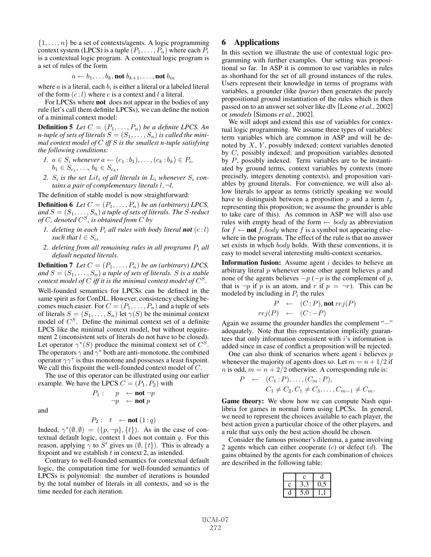$\{1,\ldots,n\}$  be a set of contexts/agents. A logic programming context system (LPCS) is a tuple  $(P_1, \ldots, P_n)$  where each  $P_i$ is a contextual logic program. A contextual logic program is a set of rules of the form

$$
a \leftarrow b_1, \ldots b_k, \text{not } b_{k+1}, \ldots, \text{not } b_m
$$

where a is a literal, each  $b_i$  is either a literal or a labeled literal of the form  $(c: l)$  where c is a context and l a literal.

For LPCSs where not does not appear in the bodies of any rule (let's call them definite LPCSs), we can define the notion of a minimal context model:

**Definition 5** Let  $C = (P_1, \ldots, P_n)$  be a definite LPCS. An *n*-tuple of sets of literals  $S = (S_1, \ldots, S_n)$  is called the mini*mal context model of* C *iff* S *is the smallest n-tuple satisfying the following conditions:*

- *1.*  $a \in S_i$  *whenever*  $a \leftarrow (c_1 : b_1), \ldots, (c_k : b_k) \in P_i$ ,  $b_1 \in S_{c_1}, \ldots, b_k \in S_{c_k}$
- 2.  $S_i$  *is the set Lit<sub>i</sub> of all literals in*  $L_i$  *whenever*  $S_i$  *contains a pair of complementary literals* l, ¬l*.*

The definition of stable model is now straightforward:

**Definition 6** *Let*  $C = (P_1, \ldots, P_n)$  *be an (arbitrary) LPCS, and*  $S = (S_1, \ldots, S_n)$  *a tuple of sets of literals. The S-reduct of*  $C$ *, denoted*  $C^S$ *, is obtained from*  $C$  *by* 

- *1. deleting in each*  $P_i$  *all rules with body literal not*  $(c:l)$ *such that*  $l \in S_c$ ,
- 2. deleting from all remaining rules in all programs  $P_i$  all *default negated literals.*

**Definition 7** *Let*  $C = (P_1, \ldots, P_n)$  *be an (arbitrary) LPCS, and*  $S = (S_1, \ldots, S_n)$  *a tuple of sets of literals. S is a stable context model of*  $C$  *iff it is the minimal context model of*  $C^S$ *.* 

Well-founded semantics for LPCSs can be defined in the same spirit as for ConDL. However, consistency checking becomes much easier. For  $C = (P_1, \ldots, P_n)$  and a tuple of sets of literals  $S = (S_1, \ldots, S_n)$  let  $\gamma(S)$  be the minimal context model of  $C^S$ . Define the minimal context set of a definite LPCS like the minimal context model, but without requirement 2 (inconsistent sets of literals do not have to be closed). Let operator  $\gamma^*(S)$  produce the minimal context set of  $C^S$ . The operators  $\gamma$  and  $\gamma^*$  both are anti-monotone, the combined operator  $\gamma\gamma^*$  is thus monotone and possesses a least fixpoint. We call this fixpoint the well-founded context model of  $C$ .

The use of this operator can be illustrated using our earlier example. We have the LPCS  $C = (P_1, P_2)$  with

> $P_1: p \leftarrow \textbf{not} \neg p$  $\neg p \leftarrow \textbf{not } p$

and

$$
P_2: \quad t \quad \leftarrow \textbf{not} \ (1:q)
$$

Indeed,  $\gamma^*(\emptyset, \emptyset) = (\{p, \neg p\}, \{t\})$ . As in the case of contextual default logic, context 1 does not contain  $q$ . For this reason, applying  $\gamma$  to S' gives us  $(\emptyset, \{t\})$ . This is already a fixpoint and we establish  $t$  in context 2, as intended.

Contrary to well-founded semantics for contextual default logic, the computation time for well-founded semantics of LPCSs is polynomial: the number of iterations is bounded by the total number of literals in all contexts, and so is the time needed for each iteration.

# 6 Applications

In this section we illustrate the use of contextual logic programming with further examples. Our setting was propositional so far. In ASP it is common to use variables in rules as shorthand for the set of all ground instances of the rules. Users represent their knowledge in terms of programs with variables, a grounder (like *lparse*) then generates the purely propositional ground instantiation of the rules which is then passed on to an answer set solver like dlv [Leone *et al.*, 2002] or *smodels* [Simons *et al.*, 2002].

We will adopt and extend this use of variables for contextual logic programming. We assume three types of variables: term variables which are common in ASP and will be denoted by  $X$ ,  $Y$ , possibly indexed; context variables denoted by C, possibly indexed; and proposition variables denoted by P, possibly indexed. Term variables are to be instantiated by ground terms, context variables by contexts (more precisely, integers denoting contexts), and proposition variables by ground literals. For convenience, we will also allow literals to appear as terms (strictly speaking we would have to distinguish between a proposition  $p$  and a term  $t_p$ representing this proposition; we assume the grounder is able to take care of this). As common in ASP we will also use rules with empty head of the form  $\leftarrow$  body as abbreviation for  $f \leftarrow \textbf{not } f$ , body where f is a symbol not appearing elsewhere in the program. The effect of the rule is that no answer set exists in which *body* holds. With these conventions, it is easy to model several interesting multi-context scenarios.

**Information fusion:** Assume agent  $i$  decides to believe an arbitrary literal  $p$  whenever some other agent believes  $p$  and none of the agents believes  $-p$  (−p is the complement of p, that is  $\neg p$  if p is an atom, and r if  $p = \neg r$ . This can be modeled by including in  $P_i$  the rules

$$
P \leftarrow (C : P), \text{not } rej(P)
$$

$$
rej(P) \leftarrow (C : -P)
$$

Again we assume the grounder handles the complement "−" adequately. Note that this representation implicitly guarantees that only information consistent with  $i$ 's information is added since in case of conflict a proposition will be rejected.

One can also think of scenarios where agent  $i$  believes  $p$ whenever the majority of agents does so. Let  $m = n + 1/2$  if *n* is odd,  $m = n + 2/2$  otherwise. A corresponding rule is:

$$
P \leftarrow (C_1 : P), \dots, (C_m : P),
$$
  
\n
$$
C_1 \neq C_2, C_1 \neq C_3, \dots, C_{m-1} \neq C_m.
$$

Game theory: We show how we can compute Nash equilibria for games in normal form using LPCSs. In general, we need to represent the choices available to each player, the best action given a particular choice of the other players, and a rule that says only the best action should be chosen.

Consider the famous prisoner's dilemma, a game involving 2 agents which can either cooperate  $(c)$  or defect  $(d)$ . The gains obtained by the agents for each combination of choices are described in the following table:

|   | C  |    |
|---|----|----|
| Ċ | и, | n, |
|   |    |    |